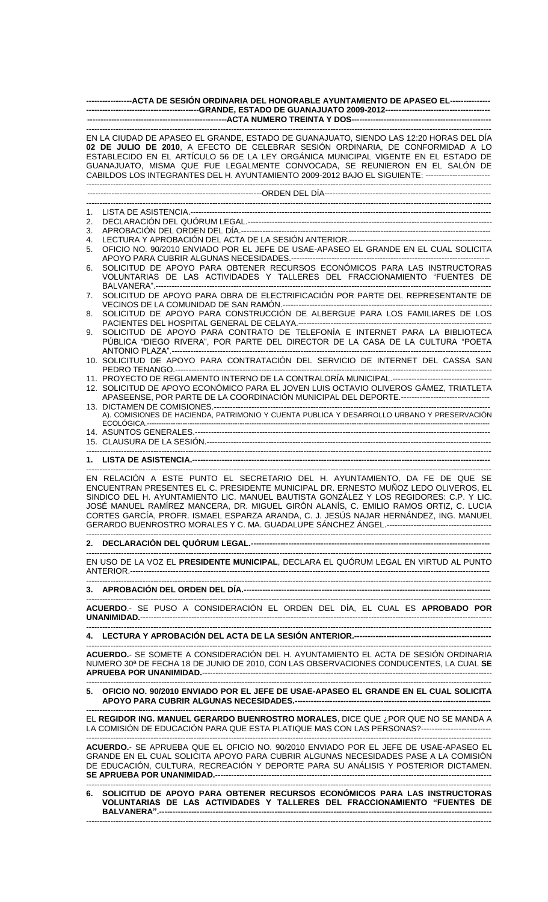| EN LA CIUDAD DE APASEO EL GRANDE, ESTADO DE GUANAJUATO, SIENDO LAS 12:20 HORAS DEL DÍA<br>02 DE JULIO DE 2010, A EFECTO DE CELEBRAR SESIÓN ORDINARIA, DE CONFORMIDAD A LO<br>ESTABLECIDO EN EL ARTÍCULO 56 DE LA LEY ORGÁNICA MUNICIPAL VIGENTE EN EL ESTADO DE<br>GUANAJUATO, MISMA QUE FUE LEGALMENTE CONVOCADA, SE REUNIERON EN EL SALÓN DE<br>CABILDOS LOS INTEGRANTES DEL H. AYUNTAMIENTO 2009-2012 BAJO EL SIGUIENTE: ------------------------<br>1.<br>2.<br>3.<br>4.<br>5.<br>SOLICITUD DE APOYO PARA OBTENER RECURSOS ECONÓMICOS PARA LAS INSTRUCTORAS<br>6.<br>7.<br>SOLICITUD DE APOYO PARA CONSTRUCCIÓN DE ALBERGUE PARA LOS FAMILIARES DE LOS<br>8.<br>SOLICITUD DE APOYO PARA CONTRATO DE TELEFONÍA E INTERNET PARA LA BIBLIOTECA<br>9.<br>10. SOLICITUD DE APOYO PARA CONTRATACIÓN DEL SERVICIO DE INTERNET DEL CASSA SAN<br>12. SOLICITUD DE APOYO ECONÓMICO PARA EL JOVEN LUIS OCTAVIO OLIVEROS GÁMEZ, TRIATLETA<br>EN RELACIÓN A ESTE PUNTO EL SECRETARIO DEL H. AYUNTAMIENTO, DA FE DE QUE SE<br>ENCUENTRAN PRESENTES EL C. PRESIDENTE MUNICIPAL DR. ERNESTO MUÑOZ LEDO OLIVEROS, EL<br>SINDICO DEL H. AYUNTAMIENTO LIC. MANUEL BAUTISTA GONZÁLEZ Y LOS REGIDORES: C.P. Y LIC.<br>JOSÉ MANUEL RAMÍREZ MANCERA, DR. MIGUEL GIRÓN ALANÍS, C. EMILIO RAMOS ORTIZ, C. LUCIA<br>CORTES GARCÍA, PROFR. ISMAEL ESPARZA ARANDA, C. J. JESÚS NAJAR HERNÁNDEZ, ING. MANUEL<br>EN USO DE LA VOZ EL PRESIDENTE MUNICIPAL, DECLARA EL QUÓRUM LEGAL EN VIRTUD AL PUNTO<br>ACUERDO.- SE PUSO A CONSIDERACIÓN EL ORDEN DEL DÍA, EL CUAL ES APROBADO POR<br>ACUERDO.- SE SOMETE A CONSIDERACIÓN DEL H. AYUNTAMIENTO EL ACTA DE SESIÓN ORDINARIA<br>NUMERO 30 <sup>a</sup> DE FECHA 18 DE JUNIO DE 2010, CON LAS OBSERVACIONES CONDUCENTES, LA CUAL SE<br>5. OFICIO NO. 90/2010 ENVIADO POR EL JEFE DE USAE-APASEO EL GRANDE EN EL CUAL SOLICITA<br>EL REGIDOR ING. MANUEL GERARDO BUENROSTRO MORALES, DICE QUE ¿POR QUE NO SE MANDA A<br>LA COMISIÓN DE EDUCACIÓN PARA QUE ESTA PLATIQUE MAS CON LAS PERSONAS?--------------------------<br>ACUERDO.- SE APRUEBA QUE EL OFICIO NO. 90/2010 ENVIADO POR EL JEFE DE USAE-APASEO EL<br>GRANDE EN EL CUAL SOLICITA APOYO PARA CUBRIR ALGUNAS NECESIDADES PASE A LA COMISIÓN | ------------------ACTA DE SESIÓN ORDINARIA DEL HONORABLE AYUNTAMIENTO DE APASEO EL---------------- |  |  |  |  |  |  |  |
|---------------------------------------------------------------------------------------------------------------------------------------------------------------------------------------------------------------------------------------------------------------------------------------------------------------------------------------------------------------------------------------------------------------------------------------------------------------------------------------------------------------------------------------------------------------------------------------------------------------------------------------------------------------------------------------------------------------------------------------------------------------------------------------------------------------------------------------------------------------------------------------------------------------------------------------------------------------------------------------------------------------------------------------------------------------------------------------------------------------------------------------------------------------------------------------------------------------------------------------------------------------------------------------------------------------------------------------------------------------------------------------------------------------------------------------------------------------------------------------------------------------------------------------------------------------------------------------------------------------------------------------------------------------------------------------------------------------------------------------------------------------------------------------------------------------------------------------------------------------------------------------------------------------------------------------------------------------------------------------------------------------------------------------------------------------------------------------------------------------------------------------------------------------------------------------------------------------------------|----------------------------------------------------------------------------------------------------|--|--|--|--|--|--|--|
|                                                                                                                                                                                                                                                                                                                                                                                                                                                                                                                                                                                                                                                                                                                                                                                                                                                                                                                                                                                                                                                                                                                                                                                                                                                                                                                                                                                                                                                                                                                                                                                                                                                                                                                                                                                                                                                                                                                                                                                                                                                                                                                                                                                                                           |                                                                                                    |  |  |  |  |  |  |  |
|                                                                                                                                                                                                                                                                                                                                                                                                                                                                                                                                                                                                                                                                                                                                                                                                                                                                                                                                                                                                                                                                                                                                                                                                                                                                                                                                                                                                                                                                                                                                                                                                                                                                                                                                                                                                                                                                                                                                                                                                                                                                                                                                                                                                                           |                                                                                                    |  |  |  |  |  |  |  |
|                                                                                                                                                                                                                                                                                                                                                                                                                                                                                                                                                                                                                                                                                                                                                                                                                                                                                                                                                                                                                                                                                                                                                                                                                                                                                                                                                                                                                                                                                                                                                                                                                                                                                                                                                                                                                                                                                                                                                                                                                                                                                                                                                                                                                           |                                                                                                    |  |  |  |  |  |  |  |
|                                                                                                                                                                                                                                                                                                                                                                                                                                                                                                                                                                                                                                                                                                                                                                                                                                                                                                                                                                                                                                                                                                                                                                                                                                                                                                                                                                                                                                                                                                                                                                                                                                                                                                                                                                                                                                                                                                                                                                                                                                                                                                                                                                                                                           |                                                                                                    |  |  |  |  |  |  |  |
|                                                                                                                                                                                                                                                                                                                                                                                                                                                                                                                                                                                                                                                                                                                                                                                                                                                                                                                                                                                                                                                                                                                                                                                                                                                                                                                                                                                                                                                                                                                                                                                                                                                                                                                                                                                                                                                                                                                                                                                                                                                                                                                                                                                                                           |                                                                                                    |  |  |  |  |  |  |  |
|                                                                                                                                                                                                                                                                                                                                                                                                                                                                                                                                                                                                                                                                                                                                                                                                                                                                                                                                                                                                                                                                                                                                                                                                                                                                                                                                                                                                                                                                                                                                                                                                                                                                                                                                                                                                                                                                                                                                                                                                                                                                                                                                                                                                                           |                                                                                                    |  |  |  |  |  |  |  |
|                                                                                                                                                                                                                                                                                                                                                                                                                                                                                                                                                                                                                                                                                                                                                                                                                                                                                                                                                                                                                                                                                                                                                                                                                                                                                                                                                                                                                                                                                                                                                                                                                                                                                                                                                                                                                                                                                                                                                                                                                                                                                                                                                                                                                           |                                                                                                    |  |  |  |  |  |  |  |
|                                                                                                                                                                                                                                                                                                                                                                                                                                                                                                                                                                                                                                                                                                                                                                                                                                                                                                                                                                                                                                                                                                                                                                                                                                                                                                                                                                                                                                                                                                                                                                                                                                                                                                                                                                                                                                                                                                                                                                                                                                                                                                                                                                                                                           | OFICIO NO. 90/2010 ENVIADO POR EL JEFE DE USAE-APASEO EL GRANDE EN EL CUAL SOLICITA                |  |  |  |  |  |  |  |
|                                                                                                                                                                                                                                                                                                                                                                                                                                                                                                                                                                                                                                                                                                                                                                                                                                                                                                                                                                                                                                                                                                                                                                                                                                                                                                                                                                                                                                                                                                                                                                                                                                                                                                                                                                                                                                                                                                                                                                                                                                                                                                                                                                                                                           |                                                                                                    |  |  |  |  |  |  |  |
|                                                                                                                                                                                                                                                                                                                                                                                                                                                                                                                                                                                                                                                                                                                                                                                                                                                                                                                                                                                                                                                                                                                                                                                                                                                                                                                                                                                                                                                                                                                                                                                                                                                                                                                                                                                                                                                                                                                                                                                                                                                                                                                                                                                                                           | VOLUNTARIAS DE LAS ACTIVIDADES Y TALLERES DEL FRACCIONAMIENTO "FUENTES DE                          |  |  |  |  |  |  |  |
|                                                                                                                                                                                                                                                                                                                                                                                                                                                                                                                                                                                                                                                                                                                                                                                                                                                                                                                                                                                                                                                                                                                                                                                                                                                                                                                                                                                                                                                                                                                                                                                                                                                                                                                                                                                                                                                                                                                                                                                                                                                                                                                                                                                                                           | SOLICITUD DE APOYO PARA OBRA DE ELECTRIFICACIÓN POR PARTE DEL REPRESENTANTE DE                     |  |  |  |  |  |  |  |
|                                                                                                                                                                                                                                                                                                                                                                                                                                                                                                                                                                                                                                                                                                                                                                                                                                                                                                                                                                                                                                                                                                                                                                                                                                                                                                                                                                                                                                                                                                                                                                                                                                                                                                                                                                                                                                                                                                                                                                                                                                                                                                                                                                                                                           |                                                                                                    |  |  |  |  |  |  |  |
|                                                                                                                                                                                                                                                                                                                                                                                                                                                                                                                                                                                                                                                                                                                                                                                                                                                                                                                                                                                                                                                                                                                                                                                                                                                                                                                                                                                                                                                                                                                                                                                                                                                                                                                                                                                                                                                                                                                                                                                                                                                                                                                                                                                                                           | PÚBLICA "DIEGO RIVERA", POR PARTE DEL DIRECTOR DE LA CASA DE LA CULTURA "POETA                     |  |  |  |  |  |  |  |
|                                                                                                                                                                                                                                                                                                                                                                                                                                                                                                                                                                                                                                                                                                                                                                                                                                                                                                                                                                                                                                                                                                                                                                                                                                                                                                                                                                                                                                                                                                                                                                                                                                                                                                                                                                                                                                                                                                                                                                                                                                                                                                                                                                                                                           |                                                                                                    |  |  |  |  |  |  |  |
|                                                                                                                                                                                                                                                                                                                                                                                                                                                                                                                                                                                                                                                                                                                                                                                                                                                                                                                                                                                                                                                                                                                                                                                                                                                                                                                                                                                                                                                                                                                                                                                                                                                                                                                                                                                                                                                                                                                                                                                                                                                                                                                                                                                                                           |                                                                                                    |  |  |  |  |  |  |  |
|                                                                                                                                                                                                                                                                                                                                                                                                                                                                                                                                                                                                                                                                                                                                                                                                                                                                                                                                                                                                                                                                                                                                                                                                                                                                                                                                                                                                                                                                                                                                                                                                                                                                                                                                                                                                                                                                                                                                                                                                                                                                                                                                                                                                                           | APASEENSE, POR PARTE DE LA COORDINACIÓN MUNICIPAL DEL DEPORTE.---------------------------------    |  |  |  |  |  |  |  |
|                                                                                                                                                                                                                                                                                                                                                                                                                                                                                                                                                                                                                                                                                                                                                                                                                                                                                                                                                                                                                                                                                                                                                                                                                                                                                                                                                                                                                                                                                                                                                                                                                                                                                                                                                                                                                                                                                                                                                                                                                                                                                                                                                                                                                           | A). COMISIONES DE HACIENDA, PATRIMONIO Y CUENTA PUBLICA Y DESARROLLO URBANO Y PRESERVACIÓN         |  |  |  |  |  |  |  |
|                                                                                                                                                                                                                                                                                                                                                                                                                                                                                                                                                                                                                                                                                                                                                                                                                                                                                                                                                                                                                                                                                                                                                                                                                                                                                                                                                                                                                                                                                                                                                                                                                                                                                                                                                                                                                                                                                                                                                                                                                                                                                                                                                                                                                           |                                                                                                    |  |  |  |  |  |  |  |
|                                                                                                                                                                                                                                                                                                                                                                                                                                                                                                                                                                                                                                                                                                                                                                                                                                                                                                                                                                                                                                                                                                                                                                                                                                                                                                                                                                                                                                                                                                                                                                                                                                                                                                                                                                                                                                                                                                                                                                                                                                                                                                                                                                                                                           |                                                                                                    |  |  |  |  |  |  |  |
|                                                                                                                                                                                                                                                                                                                                                                                                                                                                                                                                                                                                                                                                                                                                                                                                                                                                                                                                                                                                                                                                                                                                                                                                                                                                                                                                                                                                                                                                                                                                                                                                                                                                                                                                                                                                                                                                                                                                                                                                                                                                                                                                                                                                                           |                                                                                                    |  |  |  |  |  |  |  |
|                                                                                                                                                                                                                                                                                                                                                                                                                                                                                                                                                                                                                                                                                                                                                                                                                                                                                                                                                                                                                                                                                                                                                                                                                                                                                                                                                                                                                                                                                                                                                                                                                                                                                                                                                                                                                                                                                                                                                                                                                                                                                                                                                                                                                           |                                                                                                    |  |  |  |  |  |  |  |
|                                                                                                                                                                                                                                                                                                                                                                                                                                                                                                                                                                                                                                                                                                                                                                                                                                                                                                                                                                                                                                                                                                                                                                                                                                                                                                                                                                                                                                                                                                                                                                                                                                                                                                                                                                                                                                                                                                                                                                                                                                                                                                                                                                                                                           |                                                                                                    |  |  |  |  |  |  |  |
|                                                                                                                                                                                                                                                                                                                                                                                                                                                                                                                                                                                                                                                                                                                                                                                                                                                                                                                                                                                                                                                                                                                                                                                                                                                                                                                                                                                                                                                                                                                                                                                                                                                                                                                                                                                                                                                                                                                                                                                                                                                                                                                                                                                                                           |                                                                                                    |  |  |  |  |  |  |  |
|                                                                                                                                                                                                                                                                                                                                                                                                                                                                                                                                                                                                                                                                                                                                                                                                                                                                                                                                                                                                                                                                                                                                                                                                                                                                                                                                                                                                                                                                                                                                                                                                                                                                                                                                                                                                                                                                                                                                                                                                                                                                                                                                                                                                                           |                                                                                                    |  |  |  |  |  |  |  |
|                                                                                                                                                                                                                                                                                                                                                                                                                                                                                                                                                                                                                                                                                                                                                                                                                                                                                                                                                                                                                                                                                                                                                                                                                                                                                                                                                                                                                                                                                                                                                                                                                                                                                                                                                                                                                                                                                                                                                                                                                                                                                                                                                                                                                           |                                                                                                    |  |  |  |  |  |  |  |
|                                                                                                                                                                                                                                                                                                                                                                                                                                                                                                                                                                                                                                                                                                                                                                                                                                                                                                                                                                                                                                                                                                                                                                                                                                                                                                                                                                                                                                                                                                                                                                                                                                                                                                                                                                                                                                                                                                                                                                                                                                                                                                                                                                                                                           |                                                                                                    |  |  |  |  |  |  |  |
|                                                                                                                                                                                                                                                                                                                                                                                                                                                                                                                                                                                                                                                                                                                                                                                                                                                                                                                                                                                                                                                                                                                                                                                                                                                                                                                                                                                                                                                                                                                                                                                                                                                                                                                                                                                                                                                                                                                                                                                                                                                                                                                                                                                                                           |                                                                                                    |  |  |  |  |  |  |  |
|                                                                                                                                                                                                                                                                                                                                                                                                                                                                                                                                                                                                                                                                                                                                                                                                                                                                                                                                                                                                                                                                                                                                                                                                                                                                                                                                                                                                                                                                                                                                                                                                                                                                                                                                                                                                                                                                                                                                                                                                                                                                                                                                                                                                                           |                                                                                                    |  |  |  |  |  |  |  |
|                                                                                                                                                                                                                                                                                                                                                                                                                                                                                                                                                                                                                                                                                                                                                                                                                                                                                                                                                                                                                                                                                                                                                                                                                                                                                                                                                                                                                                                                                                                                                                                                                                                                                                                                                                                                                                                                                                                                                                                                                                                                                                                                                                                                                           |                                                                                                    |  |  |  |  |  |  |  |
|                                                                                                                                                                                                                                                                                                                                                                                                                                                                                                                                                                                                                                                                                                                                                                                                                                                                                                                                                                                                                                                                                                                                                                                                                                                                                                                                                                                                                                                                                                                                                                                                                                                                                                                                                                                                                                                                                                                                                                                                                                                                                                                                                                                                                           |                                                                                                    |  |  |  |  |  |  |  |
|                                                                                                                                                                                                                                                                                                                                                                                                                                                                                                                                                                                                                                                                                                                                                                                                                                                                                                                                                                                                                                                                                                                                                                                                                                                                                                                                                                                                                                                                                                                                                                                                                                                                                                                                                                                                                                                                                                                                                                                                                                                                                                                                                                                                                           | DE EDUCACIÓN, CULTURA, RECREACIÓN Y DEPORTE PARA SU ANÁLISIS Y POSTERIOR DICTAMEN.                 |  |  |  |  |  |  |  |
| 6. SOLICITUD DE APOYO PARA OBTENER RECURSOS ECONÓMICOS PARA LAS INSTRUCTORAS                                                                                                                                                                                                                                                                                                                                                                                                                                                                                                                                                                                                                                                                                                                                                                                                                                                                                                                                                                                                                                                                                                                                                                                                                                                                                                                                                                                                                                                                                                                                                                                                                                                                                                                                                                                                                                                                                                                                                                                                                                                                                                                                              | VOLUNTARIAS DE LAS ACTIVIDADES Y TALLERES DEL FRACCIONAMIENTO "FUENTES DE                          |  |  |  |  |  |  |  |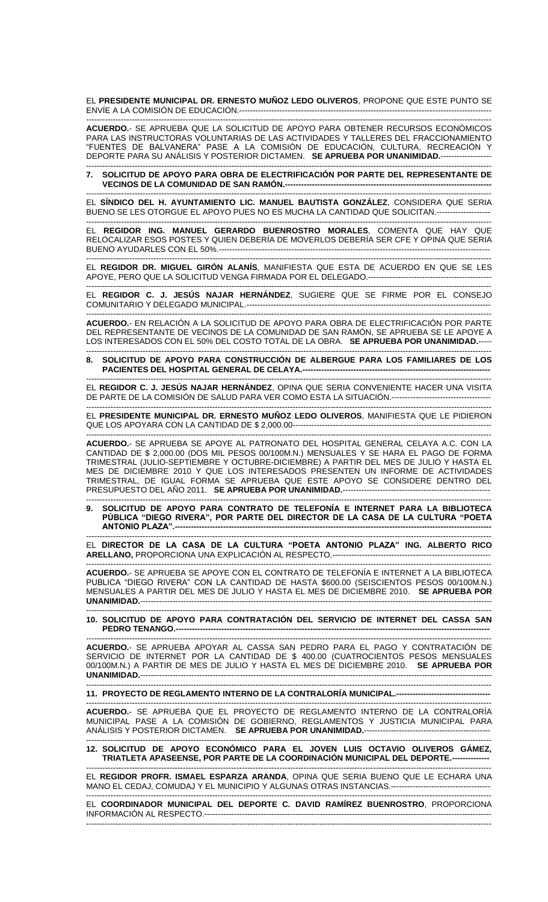EL **PRESIDENTE MUNICIPAL DR. ERNESTO MUÑOZ LEDO OLIVEROS**, PROPONE QUE ESTE PUNTO SE ENVÍE A LA COMISIÓN DE EDUCACIÓN.----

------------------------------------------------------------------------------------------------------------------------------------------------------- **ACUERDO.**- SE APRUEBA QUE LA SOLICITUD DE APOYO PARA OBTENER RECURSOS ECONÓMICOS PARA LAS INSTRUCTORAS VOLUNTARIAS DE LAS ACTIVIDADES Y TALLERES DEL FRACCIONAMIENTO "FUENTES DE BALVANERA" PASE A LA COMISIÓN DE EDUCACIÓN, CULTURA, RECREACIÓN Y DEPORTE PARA SU ANÁLISIS Y POSTERIOR DICTAMEN. **SE APRUEBA POR UNANIMIDAD.**-------------------

------------------------------------------------------------------------------------------------------------------------------------------------------- **7. SOLICITUD DE APOYO PARA OBRA DE ELECTRIFICACIÓN POR PARTE DEL REPRESENTANTE DE VECINOS DE LA COMUNIDAD DE SAN RAMÓN.-**

------------------------------------------------------------------------------------------------------------------------------------------------------- EL **SÍNDICO DEL H. AYUNTAMIENTO LIC. MANUEL BAUTISTA GONZÁLEZ**, CONSIDERA QUE SERIA BUENO SE LES OTORGUE EL APOYO PUES NO ES MUCHA LA CANTIDAD QUE SOLICITAN.--------------------

------------------------------------------------------------------------------------------------------------------------------------------------------- EL **REGIDOR ING. MANUEL GERARDO BUENROSTRO MORALES**, COMENTA QUE HAY QUE RELOCALIZAR ESOS POSTES Y QUIEN DEBERÍA DE MOVERLOS DEBERÍA SER CFE Y OPINA QUE SERIA BUENO AYUDARLES CON EL 50%.-----------------------------------------------------------------------------------------------------

------------------------------------------------------------------------------------------------------------------------------------------------------- EL **REGIDOR DR. MIGUEL GIRÓN ALANÍS**, MANIFIESTA QUE ESTA DE ACUERDO EN QUE SE LES APOYE, PERO QUE LA SOLICITUD VENGA FIRMADA POR EL DELEGADO.----------------------------------------------

------------------------------------------------------------------------------------------------------------------------------------------------------- EL **REGIDOR C. J. JESÚS NAJAR HERNÁNDEZ**, SUGIERE QUE SE FIRME POR EL CONSEJO COMUNITARIO Y DELEGADO MUNICIPAL.-------------------------------------------------------------------------------------------

------------------------------------------------------------------------------------------------------------------------------------------------------- **ACUERDO.**- EN RELACIÓN A LA SOLICITUD DE APOYO PARA OBRA DE ELECTRIFICACIÓN POR PARTE DEL REPRESENTANTE DE VECINOS DE LA COMUNIDAD DE SAN RAMÓN, SE APRUEBA SE LE APOYE A LOS INTERESADOS CON EL 50% DEL COSTO TOTAL DE LA OBRA. **SE APRUEBA POR UNANIMIDAD.**-----

------------------------------------------------------------------------------------------------------------------------------------------------------- **8. SOLICITUD DE APOYO PARA CONSTRUCCIÓN DE ALBERGUE PARA LOS FAMILIARES DE LOS PACIENTES DEL HOSPITAL GENERAL DE CELAYA.--**

------------------------------------------------------------------------------------------------------------------------------------------------------- EL **REGIDOR C. J. JESÚS NAJAR HERNÁNDEZ**, OPINA QUE SERIA CONVENIENTE HACER UNA VISITA DE PARTE DE LA COMISIÓN DE SALUD PARA VER COMO ESTA LA SITUACIÓN.-------------------------------------

------------------------------------------------------------------------------------------------------------------------------------------------------- EL **PRESIDENTE MUNICIPAL DR. ERNESTO MUÑOZ LEDO OLIVEROS**, MANIFIESTA QUE LE PIDIERON QUE LOS APOYARA CON LA CANTIDAD DE \$ 2,000.00--------------------------------------------------------------------------

------------------------------------------------------------------------------------------------------------------------------------------------------- **ACUERDO.**- SE APRUEBA SE APOYE AL PATRONATO DEL HOSPITAL GENERAL CELAYA A.C. CON LA CANTIDAD DE \$ 2,000.00 (DOS MIL PESOS 00/100M.N.) MENSUALES Y SE HARA EL PAGO DE FORMA TRIMESTRAL (JULIO-SEPTIEMBRE Y OCTUBRE-DICIEMBRE) A PARTIR DEL MES DE JULIO Y HASTA EL MES DE DICIEMBRE 2010 Y QUE LOS INTERESADOS PRESENTEN UN INFORME DE ACTIVIDADES TRIMESTRAL, DE IGUAL FORMA SE APRUEBA QUE ESTE APOYO SE CONSIDERE DENTRO DEL PRESUPUESTO DEL AÑO 2011. **SE APRUEBA POR UNANIMIDAD.**-------------------------------------------------------

------------------------------------------------------------------------------------------------------------------------------------------------------- **9. SOLICITUD DE APOYO PARA CONTRATO DE TELEFONÍA E INTERNET PARA LA BIBLIOTECA PÚBLICA "DIEGO RIVERA", POR PARTE DEL DIRECTOR DE LA CASA DE LA CULTURA "POETA ANTONIO PLAZA".----**

------------------------------------------------------------------------------------------------------------------------------------------------------- EL **DIRECTOR DE LA CASA DE LA CULTURA "POETA ANTONIO PLAZA" ING. ALBERTO RICO ARELLANO,** PROPORCIONA UNA EXPLICACIÓN AL RESPECTO.-----------------------------------------------------------

-------------------------------------------------------------------------------------------------------------------------------------------------------

**ACUERDO.**- SE APRUEBA SE APOYE CON EL CONTRATO DE TELEFONÍA E INTERNET A LA BIBLIOTECA PUBLICA "DIEGO RIVERA" CON LA CANTIDAD DE HASTA \$600.00 (SEISCIENTOS PESOS 00/100M.N.) MENSUALES A PARTIR DEL MES DE JULIO Y HASTA EL MES DE DICIEMBRE 2010. **SE APRUEBA POR UNANIMIDAD.**-----------------------------------------------------------------------------------------------------------------------------------

**10. SOLICITUD DE APOYO PARA CONTRATACIÓN DEL SERVICIO DE INTERNET DEL CASSA SAN PEDRO TENANGO.---**

------------------------------------------------------------------------------------------------------------------------------------------------------- **ACUERDO.**- SE APRUEBA APOYAR AL CASSA SAN PEDRO PARA EL PAGO Y CONTRATACIÓN DE SERVICIO DE INTERNET POR LA CANTIDAD DE \$ 400.00 (CUATROCIENTOS PESOS MENSUALES 00/100M.N.) A PARTIR DE MES DE JULIO Y HASTA EL MES DE DICIEMBRE 2010. **SE APRUEBA POR UNANIMIDAD.**-----------------------------------------------------------------------------------------------------------------------------------

------------------------------------------------------------------------------------------------------------------------------------------------------- **11. PROYECTO DE REGLAMENTO INTERNO DE LA CONTRALORÍA MUNICIPAL.-----------------------------------**

------------------------------------------------------------------------------------------------------------------------------------------------------- **ACUERDO.**- SE APRUEBA QUE EL PROYECTO DE REGLAMENTO INTERNO DE LA CONTRALORÍA MUNICIPAL PASE A LA COMISIÓN DE GOBIERNO, REGLAMENTOS Y JUSTICIA MUNICIPAL PARA ANÁLISIS Y POSTERIOR DICTAMEN. **SE APRUEBA POR UNANIMIDAD.**-----------------------------------------------

------------------------------------------------------------------------------------------------------------------------------------------------------- **12. SOLICITUD DE APOYO ECONÓMICO PARA EL JOVEN LUIS OCTAVIO OLIVEROS GÁMEZ, TRIATLETA APASEENSE, POR PARTE DE LA COORDINACIÓN MUNICIPAL DEL DEPORTE.--------------**

------------------------------------------------------------------------------------------------------------------------------------------------------- EL **REGIDOR PROFR. ISMAEL ESPARZA ARANDA**, OPINA QUE SERIA BUENO QUE LE ECHARA UNA MANO EL CEDAJ, COMUDAJ Y EL MUNICIPIO Y ALGUNAS OTRAS INSTANCIAS.------------------------------------- -------------------------------------------------------------------------------------------------------------------------------------------------------

EL **COORDINADOR MUNICIPAL DEL DEPORTE C. DAVID RAMÍREZ BUENROSTRO**, PROPORCIONA INFORMACIÓN AL RESPECTO.-------------------------------------------------------------------------------------------------------------------------------------------------------------------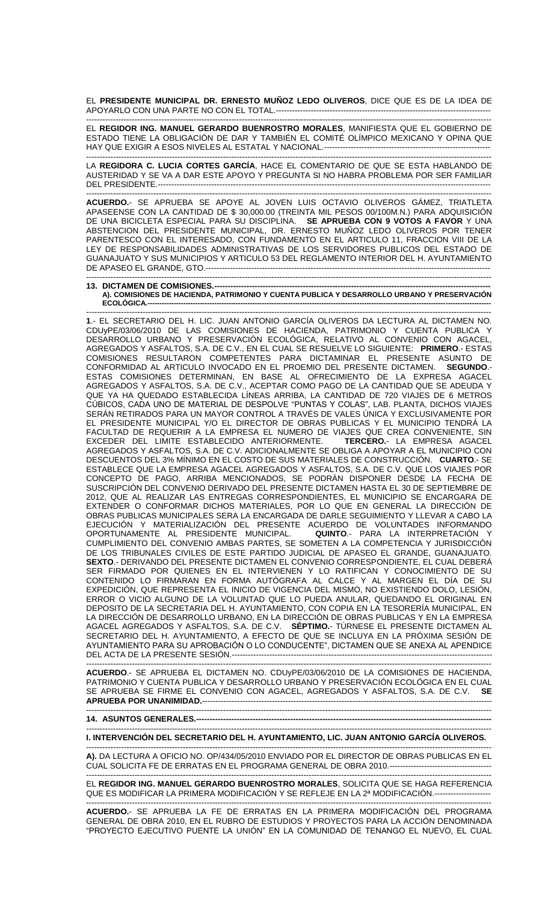EL **PRESIDENTE MUNICIPAL DR. ERNESTO MUÑOZ LEDO OLIVEROS**, DICE QUE ES DE LA IDEA DE APOYARLO CON UNA PARTE NO CON EL TOTAL.--------------------

------------------------------------------------------------------------------------------------------------------------------------------------------- EL **REGIDOR ING. MANUEL GERARDO BUENROSTRO MORALES**, MANIFIESTA QUE EL GOBIERNO DE ESTADO TIENE LA OBLIGACIÓN DE DAR Y TAMBIÉN EL COMITÉ OLÍMPICO MEXICANO Y OPINA QUE HAY QUE EXIGIR A ESOS NIVELES AL ESTATAL Y NACIONAL.--------------------------------------------------------------

------------------------------------------------------------------------------------------------------------------------------------------------------- LA **REGIDORA C. LUCIA CORTES GARCÍA**, HACE EL COMENTARIO DE QUE SE ESTA HABLANDO DE AUSTERIDAD Y SE VA A DAR ESTE APOYO Y PREGUNTA SI NO HABRA PROBLEMA POR SER FAMILIAR DEL PRESIDENTE.----------------

------------------------------------------------------------------------------------------------------------------------------------------------------- **ACUERDO.**- SE APRUEBA SE APOYE AL JOVEN LUIS OCTAVIO OLIVEROS GÁMEZ, TRIATLETA APASEENSE CON LA CANTIDAD DE \$ 30,000.00 (TREINTA MIL PESOS 00/100M.N.) PARA ADQUISICIÓN DE UNA BICICLETA ESPECIAL PARA SU DISCIPLINA. **SE APRUEBA CON 9 VOTOS A FAVOR** Y UNA ABSTENCION DEL PRESIDENTE MUNICIPAL, DR. ERNESTO MUÑOZ LEDO OLIVEROS POR TENER PARENTESCO CON EL INTERESADO, CON FUNDAMENTO EN EL ARTICULO 11, FRACCION VIII DE LA LEY DE RESPONSABILIDADES ADMINISTRATIVAS DE LOS SERVIDORES PUBLICOS DEL ESTADO DE GUANAJUATO Y SUS MUNICIPIOS Y ARTICULO 53 DEL REGLAMENTO INTERIOR DEL H. AYUNTAMIENTO DE APASEO EL GRANDE, GTO.----

## ------------------------------------------------------------------------------------------------------------------------------------------------------- **13. DICTAMEN DE COMISIONES.-------------------------------------------------------------------------------------------------------**

**A). COMISIONES DE HACIENDA, PATRIMONIO Y CUENTA PUBLICA Y DESARROLLO URBANO Y PRESERVACIÓN ECOLÓGICA.------------------------------------------------------------------------------------------------------------------------------------------------**

------------------------------------------------------------------------------------------------------------------------------------------------------- **1**.- EL SECRETARIO DEL H. LIC. JUAN ANTONIO GARCÍA OLIVEROS DA LECTURA AL DICTAMEN NO. CDUyPE/03/06/2010 DE LAS COMISIONES DE HACIENDA, PATRIMONIO Y CUENTA PUBLICA Y DESARROLLO URBANO Y PRESERVACIÓN ECOLÓGICA, RELATIVO AL CONVENIO CON AGACEL, AGREGADOS Y ASFALTOS, S.A. DE C.V., EN EL CUAL SE RESUELVE LO SIGUIENTE: **PRIMERO**.- ESTAS COMISIONES RESULTARON COMPETENTES PARA DICTAMINAR EL PRESENTE ASUNTO DE CONFORMIDAD AL ARTICULO INVOCADO EN EL PROEMIO DEL PRESENTE DICTAMEN. **SEGUNDO**.- ESTAS COMISIONES DETERMINAN, EN BASE AL OFRECIMIENTO DE LA EXPRESA AGACEL AGREGADOS Y ASFALTOS, S.A. DE C.V., ACEPTAR COMO PAGO DE LA CANTIDAD QUE SE ADEUDA Y QUE YA HA QUEDADO ESTABLECIDA LÍNEAS ARRIBA, LA CANTIDAD DE 720 VIAJES DE 6 METROS CÚBICOS, CADA UNO DE MATERIAL DE DESPOLVE "PUNTAS Y COLAS", LAB. PLANTA, DICHOS VIAJES SERÁN RETIRADOS PARA UN MAYOR CONTROL A TRAVÉS DE VALES ÚNICA Y EXCLUSIVAMENTE POR EL PRESIDENTE MUNICIPAL Y/O EL DIRECTOR DE OBRAS PUBLICAS Y EL MUNICIPIO TENDRÁ LA FACULTAD DE REQUERIR A LA EMPRESA EL NUMERO DE VIAJES QUE CREA CONVENIENTE, SIN<br>EXCEDER DEL LIMITE ESTABLECIDO ANTERIORMENTE. TERCERO.- LA EMPRESA AGACEL EXCEDER DEL LIMITE ESTABLECIDO ANTERIORMENTE. AGREGADOS Y ASFALTOS, S.A. DE C.V. ADICIONALMENTE SE OBLIGA A APOYAR A EL MUNICIPIO CON DESCUENTOS DEL 3% MÍNIMO EN EL COSTO DE SUS MATERIALES DE CONSTRUCCIÓN. **CUARTO**.- SE ESTABLECE QUE LA EMPRESA AGACEL AGREGADOS Y ASFALTOS, S.A. DE C.V. QUE LOS VIAJES POR CONCEPTO DE PAGO, ARRIBA MENCIONADOS, SE PODRÁN DISPONER DESDE LA FECHA DE SUSCRIPCIÓN DEL CONVENIO DERIVADO DEL PRESENTE DICTAMEN HASTA EL 30 DE SEPTIEMBRE DE 2012, QUE AL REALIZAR LAS ENTREGAS CORRESPONDIENTES, EL MUNICIPIO SE ENCARGARA DE EXTENDER O CONFORMAR DICHOS MATERIALES, POR LO QUE EN GENERAL LA DIRECCIÓN DE OBRAS PUBLICAS MUNICIPALES SERA LA ENCARGADA DE DARLE SEGUIMIENTO Y LLEVAR A CABO LA EJECUCIÓN Y MATERIALIZACIÓN DEL PRESENTE ACUERDO DE VOLUNTADES INFORMANDO OPORTUNAMENTE AL PRESIDENTE MUNICIPAL. **QUINTO**.- PARA LA INTERPRETACIÓN Y CUMPLIMIENTO DEL CONVENIO AMBAS PARTES, SE SOMETEN A LA COMPETENCIA Y JURISDICCIÓN DE LOS TRIBUNALES CIVILES DE ESTE PARTIDO JUDICIAL DE APASEO EL GRANDE, GUANAJUATO. **SEXTO**.- DERIVANDO DEL PRESENTE DICTAMEN EL CONVENIO CORRESPONDIENTE, EL CUAL DEBERÁ SER FIRMADO POR QUIENES EN EL INTERVIENEN Y LO RATIFICAN Y CONOCIMIENTO DE SU CONTENIDO LO FIRMARAN EN FORMA AUTÓGRAFA AL CALCE Y AL MARGEN EL DÍA DE SU EXPEDICIÓN, QUE REPRESENTA EL INICIO DE VIGENCIA DEL MISMO, NO EXISTIENDO DOLO, LESIÓN, ERROR O VICIO ALGUNO DE LA VOLUNTAD QUE LO PUEDA ANULAR, QUEDANDO EL ORIGINAL EN DEPOSITO DE LA SECRETARIA DEL H. AYUNTAMIENTO, CON COPIA EN LA TESORERÍA MUNICIPAL, EN LA DIRECCIÓN DE DESARROLLO URBANO, EN LA DIRECCIÓN DE OBRAS PUBLICAS Y EN LA EMPRESA AGACEL AGREGADOS Y ASFALTOS, S.A. DE C.V. **SÉPTIMO.**- TÚRNESE EL PRESENTE DICTAMEN AL SECRETARIO DEL H. AYUNTAMIENTO, A EFECTO DE QUE SE INCLUYA EN LA PROXIMA SESION DE AYUNTAMIENTO PARA SU APROBACIÓN O LO CONDUCENTE", DICTAMEN QUE SE ANEXA AL APENDICE DEL ACTA DE LA PRESENTE SESIÓN.-------------------------------------------------------------------------------------------------

------------------------------------------------------------------------------------------------------------------------------------------------------- **ACUERDO**.- SE APRUEBA EL DICTAMEN NO. CDUyPE/03/06/2010 DE LA COMISIONES DE HACIENDA, PATRIMONIO Y CUENTA PUBLICA Y DESARROLLO URBANO Y PRESERVACIÓN ECOLÓGICA EN EL CUAL SE APRUEBA SE FIRME EL CONVENIO CON AGACEL, AGREGADOS Y ASFALTOS, S.A. DE C.V. **SE APRUEBA POR UNANIMIDAD.**------------------------------------------------------------------------------------------------------------

-------------------------------------------------------------------------------------------------------------------------------------------------------

## **14. ASUNTOS GENERALES.----**

------------------------------------------------------------------------------------------------------------------------------------------------------- **I. INTERVENCIÓN DEL SECRETARIO DEL H. AYUNTAMIENTO, LIC. JUAN ANTONIO GARCÍA OLIVEROS.**

------------------------------------------------------------------------------------------------------------------------------------------------------- **A).** DA LECTURA A OFICIO NO. OP/434/05/2010 ENVIADO POR EL DIRECTOR DE OBRAS PUBLICAS EN EL CUAL SOLICITA FE DE ERRATAS EN EL PROGRAMA GENERAL DE OBRA 2010.--------------------------------------

------------------------------------------------------------------------------------------------------------------------------------------------------- EL **REGIDOR ING. MANUEL GERARDO BUENROSTRO MORALES**, SOLICITA QUE SE HAGA REFERENCIA QUE ES MODIFICAR LA PRIMERA MODIFICACIÓN Y SE REFLEJE EN LA 2ª MODIFICACIÓN.--------------------

------------------------------------------------------------------------------------------------------------------------------------------------------- **ACUERDO.**- SE APRUEBA LA FE DE ERRATAS EN LA PRIMERA MODIFICACIÓN DEL PROGRAMA GENERAL DE OBRA 2010, EN EL RUBRO DE ESTUDIOS Y PROYECTOS PARA LA ACCIÓN DENOMINADA "PROYECTO EJECUTIVO PUENTE LA UNIÓN" EN LA COMUNIDAD DE TENANGO EL NUEVO, EL CUAL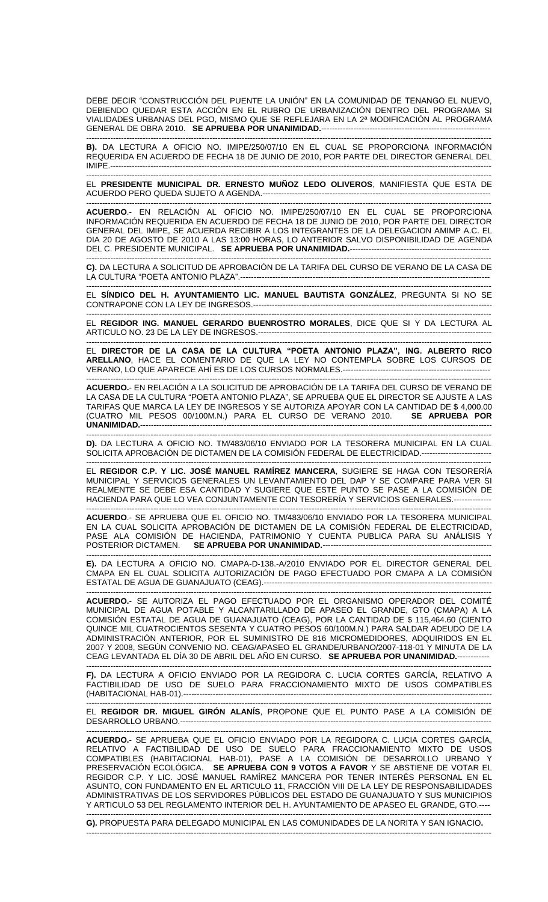DEBE DECIR "CONSTRUCCIÓN DEL PUENTE LA UNIÓN" EN LA COMUNIDAD DE TENANGO EL NUEVO, DEBIENDO QUEDAR ESTA ACCIÓN EN EL RUBRO DE URBANIZACIÓN DENTRO DEL PROGRAMA SI VIALIDADES URBANAS DEL PGO, MISMO QUE SE REFLEJARA EN LA 2ª MODIFICACIÓN AL PROGRAMA GENERAL DE OBRA 2010. **SE APRUEBA POR UNANIMIDAD.--------**-

------------------------------------------------------------------------------------------------------------------------------------------------------- **B).** DA LECTURA A OFICIO NO. IMIPE/250/07/10 EN EL CUAL SE PROPORCIONA INFORMACIÓN REQUERIDA EN ACUERDO DE FECHA 18 DE JUNIO DE 2010, POR PARTE DEL DIRECTOR GENERAL DEL IMIPE.----------------------------------------------------------------------------------------------------------------------------------------------

------------------------------------------------------------------------------------------------------------------------------------------------------- EL **PRESIDENTE MUNICIPAL DR. ERNESTO MUÑOZ LEDO OLIVEROS**, MANIFIESTA QUE ESTA DE ACUERDO PERO QUEDA SUJETO A AGENDA.-------------------------------------------------------------------------------------

-------------------------------------------------------------------------------------------------------------------------------------------------------

**ACUERDO**.- EN RELACIÓN AL OFICIO NO. IMIPE/250/07/10 EN EL CUAL SE PROPORCIONA INFORMACIÓN REQUERIDA EN ACUERDO DE FECHA 18 DE JUNIO DE 2010, POR PARTE DEL DIRECTOR GENERAL DEL IMIPE, SE ACUERDA RECIBIR A LOS INTEGRANTES DE LA DELEGACION AMIMP A.C. EL DIA 20 DE AGOSTO DE 2010 A LAS 13:00 HORAS, LO ANTERIOR SALVO DISPONIBILIDAD DE AGENDA DEL C. PRESIDENTE MUNICIPAL. SE APRUEBA POR UNANIMIDAD.------------

------------------------------------------------------------------------------------------------------------------------------------------------------- **C).** DA LECTURA A SOLICITUD DE APROBACIÓN DE LA TARIFA DEL CURSO DE VERANO DE LA CASA DE LA CULTURA "POETA ANTONIO PLAZA".---------------------------------------------------------------------------------------------

------------------------------------------------------------------------------------------------------------------------------------------------------- EL **SÍNDICO DEL H. AYUNTAMIENTO LIC. MANUEL BAUTISTA GONZÁLEZ**, PREGUNTA SI NO SE CONTRAPONE CON LA LEY DE INGRESOS.-----------------------------------------------------------------------------------------

------------------------------------------------------------------------------------------------------------------------------------------------------- EL **REGIDOR ING. MANUEL GERARDO BUENROSTRO MORALES**, DICE QUE SI Y DA LECTURA AL ARTICULO NO. 23 DE LA LEY DE INGRESOS.---------------------------------------------------------------------------------------

------------------------------------------------------------------------------------------------------------------------------------------------------- EL **DIRECTOR DE LA CASA DE LA CULTURA "POETA ANTONIO PLAZA", ING. ALBERTO RICO ARELLANO**, HACE EL COMENTARIO DE QUE LA LEY NO CONTEMPLA SOBRE LOS CURSOS DE VERANO, LO QUE APARECE AHÍ ES DE LOS CURSOS NORMALES.-------------------------------------------------------

------------------------------------------------------------------------------------------------------------------------------------------------------- **ACUERDO.**- EN RELACIÓN A LA SOLICITUD DE APROBACIÓN DE LA TARIFA DEL CURSO DE VERANO DE LA CASA DE LA CULTURA "POETA ANTONIO PLAZA", SE APRUEBA QUE EL DIRECTOR SE AJUSTE A LAS TARIFAS QUE MARCA LA LEY DE INGRESOS Y SE AUTORIZA APOYAR CON LA CANTIDAD DE \$ 4,000.00 (CUATRO MIL PESOS 00/100M.N.) PARA EL CURSO DE VERANO 2010. **SE APRUEBA POR UNANIMIDAD.**-----------------------------------------------------------------------------------------------------------------------------------

------------------------------------------------------------------------------------------------------------------------------------------------------- **D).** DA LECTURA A OFICIO NO. TM/483/06/10 ENVIADO POR LA TESORERA MUNICIPAL EN LA CUAL SOLICITA APROBACIÓN DE DICTAMEN DE LA COMISIÓN FEDERAL DE ELECTRICIDAD.--------------------------

------------------------------------------------------------------------------------------------------------------------------------------------------- EL **REGIDOR C.P. Y LIC. JOSÉ MANUEL RAMÍREZ MANCERA**, SUGIERE SE HAGA CON TESORERÍA MUNICIPAL Y SERVICIOS GENERALES UN LEVANTAMIENTO DEL DAP Y SE COMPARE PARA VER SI REALMENTE SE DEBE ESA CANTIDAD Y SUGIERE QUE ESTE PUNTO SE PASE A LA COMISIÓN DE HACIENDA PARA QUE LO VEA CONJUNTAMENTE CON TESORERÍA Y SERVICIOS GENERALES.--------------

------------------------------------------------------------------------------------------------------------------------------------------------------- **ACUERDO**.- SE APRUEBA QUE EL OFICIO NO. TM/483/06/10 ENVIADO POR LA TESORERA MUNICIPAL EN LA CUAL SOLICITA APROBACIÓN DE DICTAMEN DE LA COMISIÓN FEDERAL DE ELECTRICIDAD, PASE ALA COMISION DE HACIENDA, PATRIMONIO Y CUENTA PUBLICA PARA SU ANALISIS Y POSTERIOR DICTAMEN. **SE APRUEBA POR UNANIMIDAD.**---------------------------------------------------------------

------------------------------------------------------------------------------------------------------------------------------------------------------- **E).** DA LECTURA A OFICIO NO. CMAPA-D-138.-A/2010 ENVIADO POR EL DIRECTOR GENERAL DEL CMAPA EN EL CUAL SOLICITA AUTORIZACIÓN DE PAGO EFECTUADO POR CMAPA A LA COMISIÓN ESTATAL DE AGUA DE GUANAJUATO (CEAG).-------------------------------------------------------------------------------------

------------------------------------------------------------------------------------------------------------------------------------------------------- **ACUERDO.**- SE AUTORIZA EL PAGO EFECTUADO POR EL ORGANISMO OPERADOR DEL COMITÉ MUNICIPAL DE AGUA POTABLE Y ALCANTARILLADO DE APASEO EL GRANDE, GTO (CMAPA) A LA COMISIÓN ESTATAL DE AGUA DE GUANAJUATO (CEAG), POR LA CANTIDAD DE \$ 115,464.60 (CIENTO QUINCE MIL CUATROCIENTOS SESENTA Y CUATRO PESOS 60/100M.N.) PARA SALDAR ADEUDO DE LA ADMINISTRACIÓN ANTERIOR, POR EL SUMINISTRO DE 816 MICROMEDIDORES, ADQUIRIDOS EN EL 2007 Y 2008, SEGÚN CONVENIO NO. CEAG/APASEO EL GRANDE/URBANO/2007-118-01 Y MINUTA DE LA CEAG LEVANTADA EL DÍA 30 DE ABRIL DEL AÑO EN CURSO. **SE APRUEBA POR UNANIMIDAD.**------------

------------------------------------------------------------------------------------------------------------------------------------------------------- **F).** DA LECTURA A OFICIO ENVIADO POR LA REGIDORA C. LUCIA CORTES GARCÍA, RELATIVO A FACTIBILIDAD DE USO DE SUELO PARA FRACCIONAMIENTO MIXTO DE USOS COMPATIBLES (HABITACIONAL HAB-01).-------------------------------------------------------------------------------------------------------------------

------------------------------------------------------------------------------------------------------------------------------------------------------- EL **REGIDOR DR. MIGUEL GIRÓN ALANÍS**, PROPONE QUE EL PUNTO PASE A LA COMISIÓN DE DESARROLLO URBANO.--------------------------------------------------------------------------------------------------------------------

**ACUERDO.**- SE APRUEBA QUE EL OFICIO ENVIADO POR LA REGIDORA C. LUCIA CORTES GARCÍA, RELATIVO A FACTIBILIDAD DE USO DE SUELO PARA FRACCIONAMIENTO MIXTO DE USOS COMPATIBLES (HABITACIONAL HAB-01), PASE A LA COMISIÓN DE DESARROLLO URBANO Y PRESERVACIÓN ECOLÓGICA. **SE APRUEBA CON 9 VOTOS A FAVOR** Y SE ABSTIENE DE VOTAR EL REGIDOR C.P. Y LIC. JOSÉ MANUEL RAMÍREZ MANCERA POR TENER INTERÉS PERSONAL EN EL ASUNTO, CON FUNDAMENTO EN EL ARTICULO 11, FRACCIÓN VIII DE LA LEY DE RESPONSABILIDADES ADMINISTRATIVAS DE LOS SERVIDORES PÚBLICOS DEL ESTADO DE GUANAJUATO Y SUS MUNICIPIOS Y ARTICULO 53 DEL REGLAMENTO INTERIOR DEL H. AYUNTAMIENTO DE APASEO EL GRANDE, GTO.---- -------------------------------------------------------------------------------------------------------------------------------------------------------

**G).** PROPUESTA PARA DELEGADO MUNICIPAL EN LAS COMUNIDADES DE LA NORITA Y SAN IGNACIO**.** -------------------------------------------------------------------------------------------------------------------------------------------------------